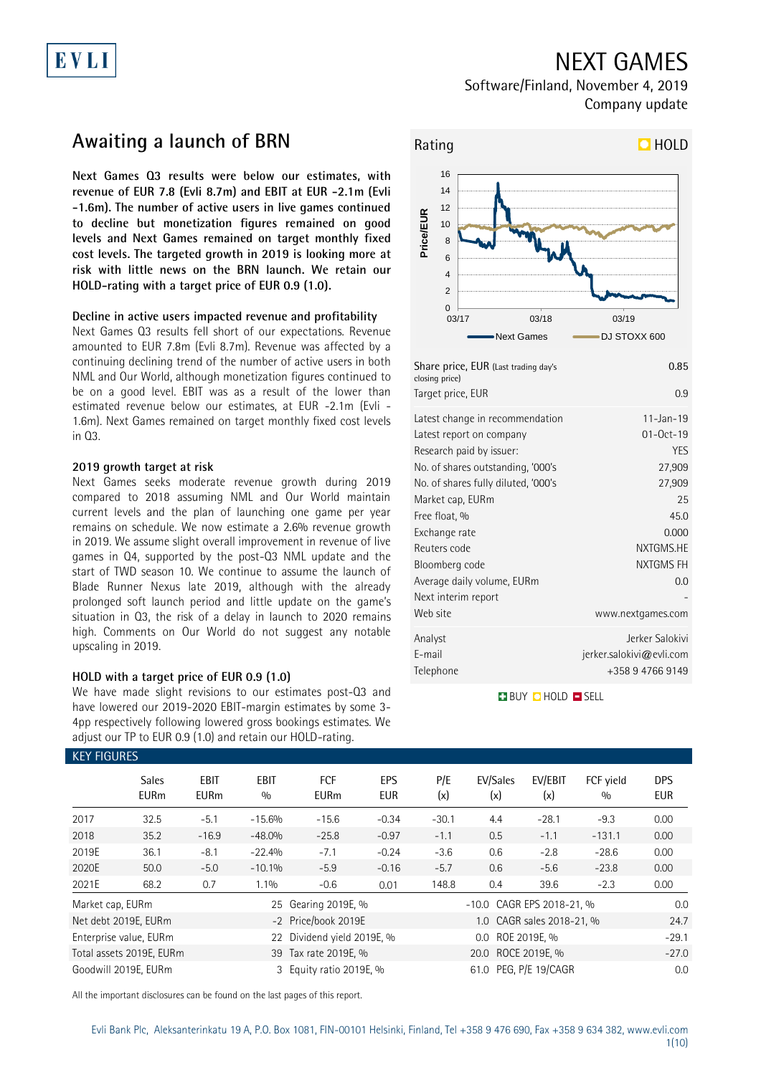# EVLI

## NEXT GAMES

Software/Finland, November 4, 2019 Company update

## **Awaiting a launch of BRN**

**Next Games Q3 results were below our estimates, with revenue of EUR 7.8 (Evli 8.7m) and EBIT at EUR -2.1m (Evli -1.6m). The number of active users in live games continued to decline but monetization figures remained on good levels and Next Games remained on target monthly fixed cost levels. The targeted growth in 2019 is looking more at risk with little news on the BRN launch. We retain our HOLD-rating with a target price of EUR 0.9 (1.0).**

### **Decline in active users impacted revenue and profitability**

Next Games Q3 results fell short of our expectations. Revenue amounted to EUR 7.8m (Evli 8.7m). Revenue was affected by a continuing declining trend of the number of active users in both NML and Our World, although monetization figures continued to be on a good level. EBIT was as a result of the lower than estimated revenue below our estimates, at EUR -2.1m (Evli - 1.6m). Next Games remained on target monthly fixed cost levels in Q3.

### **2019 growth target at risk**

Next Games seeks moderate revenue growth during 2019 compared to 2018 assuming NML and Our World maintain current levels and the plan of launching one game per year remains on schedule. We now estimate a 2.6% revenue growth in 2019. We assume slight overall improvement in revenue of live games in Q4, supported by the post-Q3 NML update and the start of TWD season 10. We continue to assume the launch of Blade Runner Nexus late 2019, although with the already prolonged soft launch period and little update on the game's situation in Q3, the risk of a delay in launch to 2020 remains high. Comments on Our World do not suggest any notable upscaling in 2019.

### **HOLD with a target price of EUR 0.9 (1.0)**

We have made slight revisions to our estimates post-Q3 and have lowered our 2019-2020 EBIT-margin estimates by some 3- 4pp respectively following lowered gross bookings estimates. We adjust our TP to EUR 0.9 (1.0) and retain our HOLD-rating.



| Share price, EUR (Last trading day's<br>closing price)<br>Target price, EUR                                                                                                                                                                                                                                                  | 0.85<br>0.9                                                                                                                                |
|------------------------------------------------------------------------------------------------------------------------------------------------------------------------------------------------------------------------------------------------------------------------------------------------------------------------------|--------------------------------------------------------------------------------------------------------------------------------------------|
| Latest change in recommendation<br>Latest report on company<br>Research paid by issuer:<br>No. of shares outstanding, '000's<br>No. of shares fully diluted, '000's<br>Market cap, EURm<br>Free float, %<br>Exchange rate<br>Reuters code<br>Bloomberg code<br>Average daily volume, EURm<br>Next interim report<br>Web site | $11 - Jan - 19$<br>$01 - Oct - 19$<br>YES<br>27,909<br>27,909<br>25<br>45.0<br>0.000<br>NXTGMS.HE<br>NXTGMS FH<br>0.0<br>www.nextgames.com |
| Analyst<br>E-mail<br>Telephone                                                                                                                                                                                                                                                                                               | Jerker Salokivi<br>jerker.salokivi@evli.com<br>+358 9 4766 9149                                                                            |

**BUY QHOLD SELL** 

|                  | <b>KEY FIGURES</b>          |                            |                    |                            |                   |            |                           |                           |                  |                   |  |
|------------------|-----------------------------|----------------------------|--------------------|----------------------------|-------------------|------------|---------------------------|---------------------------|------------------|-------------------|--|
|                  | <b>Sales</b><br><b>EURm</b> | <b>EBIT</b><br><b>EURm</b> | <b>EBIT</b><br>0/0 | <b>FCF</b><br><b>EURm</b>  | EPS<br><b>EUR</b> | P/E<br>(x) | EV/Sales<br>(x)           | EV/EBIT<br>(x)            | FCF vield<br>0/0 | <b>DPS</b><br>EUR |  |
| 2017             | 32.5                        | $-5.1$                     | $-15.6%$           | $-15.6$                    | $-0.34$           | $-30.1$    | 4.4                       | $-28.1$                   | $-9.3$           | 0.00              |  |
| 2018             | 35.2                        | $-16.9$                    | -48.0%             | $-25.8$                    | $-0.97$           | $-1.1$     | 0.5                       | $-1.1$                    | $-131.1$         | 0.00              |  |
| 2019E            | 36.1                        | $-8.1$                     | $-22.4%$           | $-7.1$                     | $-0.24$           | $-3.6$     | 0.6                       | $-2.8$                    | $-28.6$          | 0.00              |  |
| 2020E            | 50.0                        | $-5.0$                     | $-10.1%$           | $-5.9$                     | $-0.16$           | $-5.7$     | 0.6                       | $-5.6$                    | $-23.8$          | 0.00              |  |
| 2021E            | 68.2                        | 0.7                        | $1.1\%$            | $-0.6$                     | 0.01              | 148.8      | 0.4                       | 39.6                      | $-2.3$           | 0.00              |  |
| Market cap, EURm |                             |                            |                    | 25 Gearing 2019E, %        |                   |            | -10.0 CAGR EPS 2018-21, % | 0.0                       |                  |                   |  |
|                  | Net debt 2019E, EURm        |                            |                    | -2 Price/book 2019E        |                   |            |                           | 1.0 CAGR sales 2018-21, % |                  | 24.7              |  |
|                  | Enterprise value, EURm      |                            |                    | 22 Dividend yield 2019E, % |                   |            | 0.0 ROE 2019E, %          |                           |                  | $-29.1$           |  |
|                  | Total assets 2019E, EURm    |                            |                    | 39 Tax rate 2019E, %       |                   |            |                           | $-27.0$                   |                  |                   |  |
|                  | Goodwill 2019E, EURm        |                            |                    | 3 Equity ratio 2019E, %    |                   |            | 61.0 PEG, P/E 19/CAGR     | 0.0                       |                  |                   |  |

All the important disclosures can be found on the last pages of this report.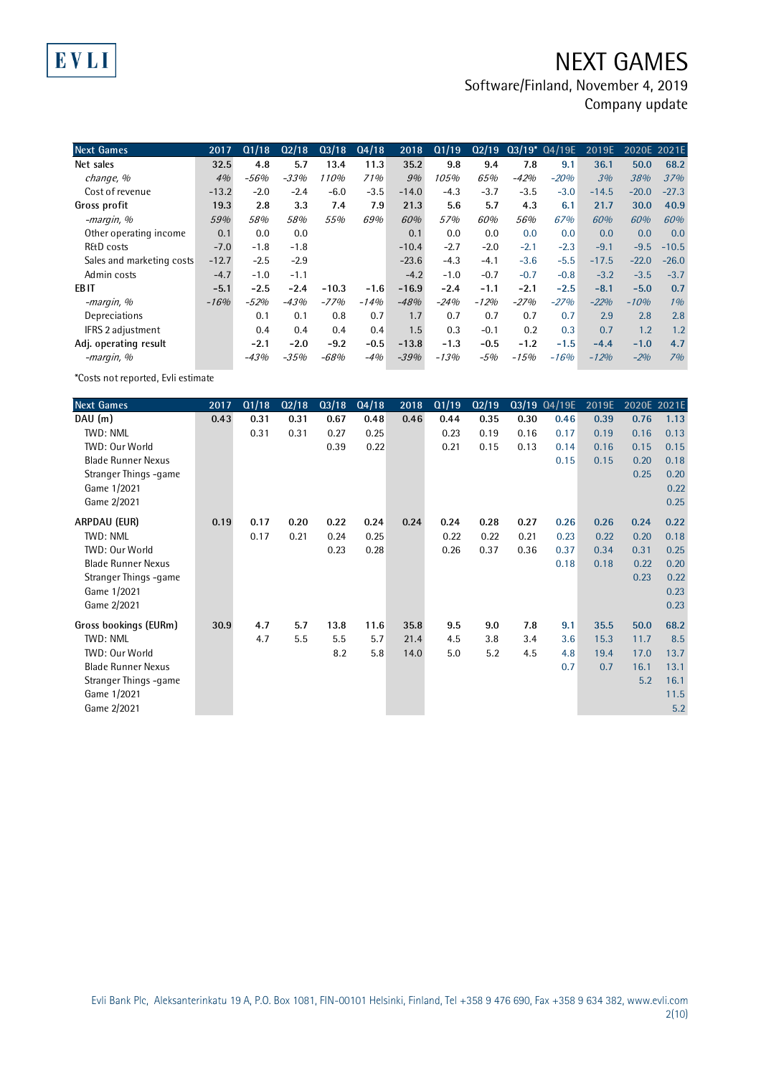## NEXT GAMES

Software/Finland, November 4, 2019

Company update

| <b>Next Games</b>         | 2017    | Q1/18  | Q2/18  | Q3/18   | Q4/18  | 2018    | Q1/19  | Q2/19  |        | $03/19* 04/19E$ | 2019E   | 2020E 2021E |         |
|---------------------------|---------|--------|--------|---------|--------|---------|--------|--------|--------|-----------------|---------|-------------|---------|
| Net sales                 | 32.5    | 4.8    | 5.7    | 13.4    | 11.3   | 35.2    | 9.8    | 9.4    | 7.8    | 9.1             | 36.1    | 50.0        | 68.2    |
| change, %                 | 4%      | $-56%$ | $-33%$ | 110%    | 71%    | 9%      | 105%   | 65%    | $-42%$ | $-20%$          | 3%      | 38%         | 37%     |
| Cost of revenue           | $-13.2$ | $-2.0$ | $-2.4$ | $-6.0$  | $-3.5$ | $-14.0$ | $-4.3$ | $-3.7$ | $-3.5$ | $-3.0$          | $-14.5$ | $-20.0$     | $-27.3$ |
| Gross profit              | 19.3    | 2.8    | 3.3    | 7.4     | 7.9    | 21.3    | 5.6    | 5.7    | 4.3    | 6.1             | 21.7    | 30.0        | 40.9    |
| -margin, %                | 59%     | 58%    | 58%    | 55%     | 69%    | 60%     | 57%    | 60%    | 56%    | 67%             | 60%     | 60%         | 60%     |
| Other operating income    | 0.1     | 0.0    | 0.0    |         |        | 0.1     | 0.0    | 0.0    | 0.0    | 0.0             | 0.0     | 0.0         | 0.0     |
| R&D costs                 | $-7.0$  | $-1.8$ | $-1.8$ |         |        | $-10.4$ | $-2.7$ | $-2.0$ | $-2.1$ | $-2.3$          | $-9.1$  | $-9.5$      | $-10.5$ |
| Sales and marketing costs | $-12.7$ | $-2.5$ | $-2.9$ |         |        | $-23.6$ | $-4.3$ | $-4.1$ | $-3.6$ | $-5.5$          | $-17.5$ | $-22.0$     | $-26.0$ |
| Admin costs               | $-4.7$  | $-1.0$ | $-1.1$ |         |        | $-4.2$  | $-1.0$ | $-0.7$ | $-0.7$ | $-0.8$          | $-3.2$  | $-3.5$      | $-3.7$  |
| EB IT                     | $-5.1$  | $-2.5$ | $-2.4$ | $-10.3$ | $-1.6$ | $-16.9$ | $-2.4$ | $-1.1$ | $-2.1$ | $-2.5$          | $-8.1$  | $-5.0$      | 0.7     |
| -margin, %                | $-16%$  | $-52%$ | $-43%$ | $-77%$  | $-14%$ | $-48%$  | $-24%$ | $-12%$ | $-27%$ | $-27%$          | $-22%$  | $-10%$      | 1%      |
| Depreciations             |         | 0.1    | 0.1    | 0.8     | 0.7    | 1.7     | 0.7    | 0.7    | 0.7    | 0.7             | 2.9     | 2.8         | 2.8     |
| IFRS 2 adjustment         |         | 0.4    | 0.4    | 0.4     | 0.4    | 1.5     | 0.3    | $-0.1$ | 0.2    | 0.3             | 0.7     | 1.2         | 1.2     |
| Adj. operating result     |         | $-2.1$ | $-2.0$ | $-9.2$  | $-0.5$ | $-13.8$ | $-1.3$ | $-0.5$ | $-1.2$ | $-1.5$          | $-4.4$  | $-1.0$      | 4.7     |
| -margin, %                |         | $-43%$ | $-35%$ | $-68%$  | $-4%$  | $-39%$  | $-13%$ | -5%    | $-15%$ | $-16%$          | $-12%$  | $-2%$       | 7%      |

\*Costs not reported, Evli estimate

EVLI

| <b>Next Games</b>         | 2017 | Q1/18 | Q2/18 | Q3/18 | Q4/18 | 2018 | Q1/19 | Q2/19 |      | Q3/19 Q4/19E | 2019E | 2020E 2021E |      |
|---------------------------|------|-------|-------|-------|-------|------|-------|-------|------|--------------|-------|-------------|------|
| DAU (m)                   | 0.43 | 0.31  | 0.31  | 0.67  | 0.48  | 0.46 | 0.44  | 0.35  | 0.30 | 0.46         | 0.39  | 0.76        | 1.13 |
| TWD: NML                  |      | 0.31  | 0.31  | 0.27  | 0.25  |      | 0.23  | 0.19  | 0.16 | 0.17         | 0.19  | 0.16        | 0.13 |
| TWD: Our World            |      |       |       | 0.39  | 0.22  |      | 0.21  | 0.15  | 0.13 | 0.14         | 0.16  | 0.15        | 0.15 |
| <b>Blade Runner Nexus</b> |      |       |       |       |       |      |       |       |      | 0.15         | 0.15  | 0.20        | 0.18 |
| Stranger Things -game     |      |       |       |       |       |      |       |       |      |              |       | 0.25        | 0.20 |
| Game 1/2021               |      |       |       |       |       |      |       |       |      |              |       |             | 0.22 |
| Game 2/2021               |      |       |       |       |       |      |       |       |      |              |       |             | 0.25 |
| ARPDAU (EUR)              | 0.19 | 0.17  | 0.20  | 0.22  | 0.24  | 0.24 | 0.24  | 0.28  | 0.27 | 0.26         | 0.26  | 0.24        | 0.22 |
| <b>TWD: NML</b>           |      | 0.17  | 0.21  | 0.24  | 0.25  |      | 0.22  | 0.22  | 0.21 | 0.23         | 0.22  | 0.20        | 0.18 |
| TWD: Our World            |      |       |       | 0.23  | 0.28  |      | 0.26  | 0.37  | 0.36 | 0.37         | 0.34  | 0.31        | 0.25 |
| <b>Blade Runner Nexus</b> |      |       |       |       |       |      |       |       |      | 0.18         | 0.18  | 0.22        | 0.20 |
| Stranger Things -game     |      |       |       |       |       |      |       |       |      |              |       | 0.23        | 0.22 |
| Game 1/2021               |      |       |       |       |       |      |       |       |      |              |       |             | 0.23 |
| Game 2/2021               |      |       |       |       |       |      |       |       |      |              |       |             | 0.23 |
| Gross bookings (EURm)     | 30.9 | 4.7   | 5.7   | 13.8  | 11.6  | 35.8 | 9.5   | 9.0   | 7.8  | 9.1          | 35.5  | 50.0        | 68.2 |
| TWD: NML                  |      | 4.7   | 5.5   | 5.5   | 5.7   | 21.4 | 4.5   | 3.8   | 3.4  | 3.6          | 15.3  | 11.7        | 8.5  |
| TWD: Our World            |      |       |       | 8.2   | 5.8   | 14.0 | 5.0   | 5.2   | 4.5  | 4.8          | 19.4  | 17.0        | 13.7 |
| <b>Blade Runner Nexus</b> |      |       |       |       |       |      |       |       |      | 0.7          | 0.7   | 16.1        | 13.1 |
| Stranger Things -game     |      |       |       |       |       |      |       |       |      |              |       | 5.2         | 16.1 |
| Game 1/2021               |      |       |       |       |       |      |       |       |      |              |       |             | 11.5 |
| Game 2/2021               |      |       |       |       |       |      |       |       |      |              |       |             | 5.2  |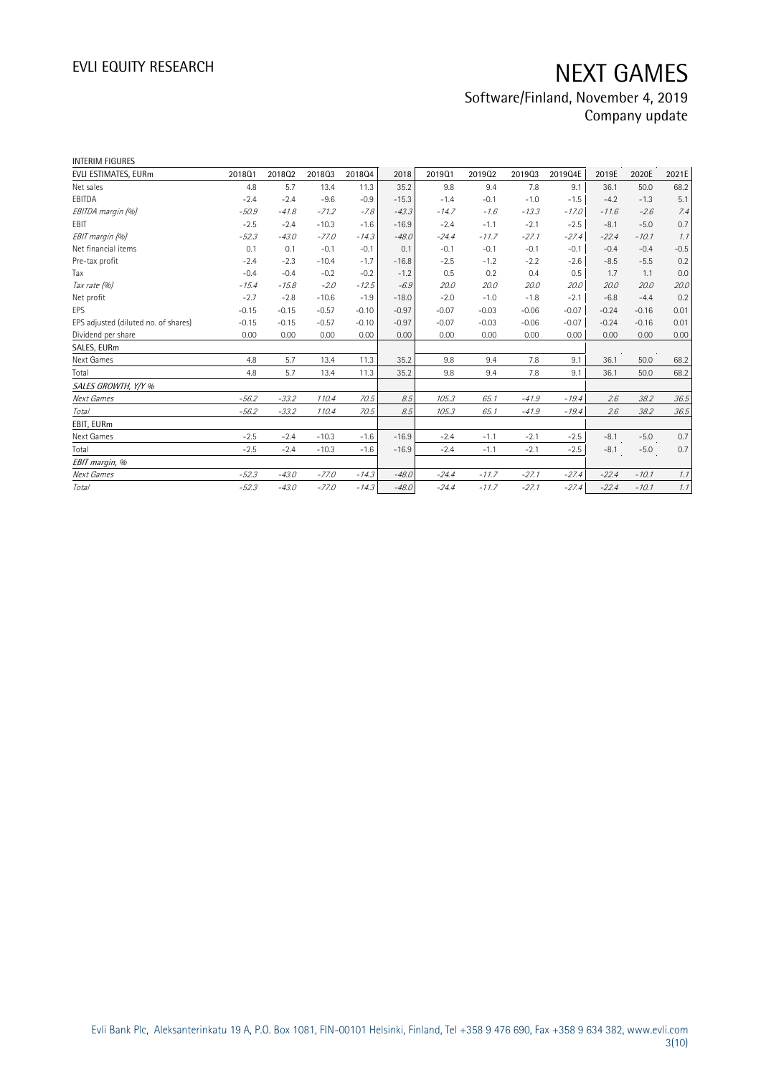## Software/Finland, November 4, 2019 Company update

| <b>INTERIM FIGURES</b>               |         |         |         |         |         |         |         |         |         |         |         |        |
|--------------------------------------|---------|---------|---------|---------|---------|---------|---------|---------|---------|---------|---------|--------|
| EVLI ESTIMATES, EURm                 | 201801  | 201802  | 201803  | 201804  | 2018    | 201901  | 201902  | 201903  | 2019Q4E | 2019E   | 2020E   | 2021E  |
| Net sales                            | 4.8     | 5.7     | 13.4    | 11.3    | 35.2    | 9.8     | 9.4     | 7.8     | 9.1     | 36.1    | 50.0    | 68.2   |
| EBITDA                               | $-2.4$  | $-2.4$  | $-9.6$  | $-0.9$  | $-15.3$ | $-1.4$  | $-0.1$  | $-1.0$  | $-1.5$  | $-4.2$  | $-1.3$  | 5.1    |
| EBITDA margin (%)                    | $-50.9$ | $-41.8$ | $-71.2$ | $-7.8$  | $-43.3$ | $-14.7$ | $-1.6$  | $-13.3$ | $-17.0$ | $-11.6$ | $-2.6$  | 7.4    |
| <b>FBIT</b>                          | $-2.5$  | $-2.4$  | $-10.3$ | $-1.6$  | $-16.9$ | $-2.4$  | $-1.1$  | $-2.1$  | $-2.5$  | $-8.1$  | $-5.0$  | 0.7    |
| EBIT margin (%)                      | $-52.3$ | $-43.0$ | $-77.0$ | $-14.3$ | $-48.0$ | $-24.4$ | $-11.7$ | $-27.1$ | $-27.4$ | $-22.4$ | $-10.1$ | 1.1    |
| Net financial items                  | 0.1     | 0.1     | $-0.1$  | $-0.1$  | 0.1     | $-0.1$  | $-0.1$  | $-0.1$  | $-0.1$  | $-0.4$  | $-0.4$  | $-0.5$ |
| Pre-tax profit                       | $-2.4$  | $-2.3$  | $-10.4$ | $-1.7$  | $-16.8$ | $-2.5$  | $-1.2$  | $-2.2$  | $-2.6$  | $-8.5$  | $-5.5$  | 0.2    |
| Tax                                  | $-0.4$  | $-0.4$  | $-0.2$  | $-0.2$  | $-1.2$  | 0.5     | 0.2     | 0.4     | 0.5     | 1.7     | 1.1     | 0.0    |
| Tax rate (%)                         | $-15.4$ | $-15.8$ | $-2.0$  | $-12.5$ | $-6.9$  | 20.0    | 20.0    | 20.0    | 20.0    | 20.0    | 20.0    | 20.0   |
| Net profit                           | $-2.7$  | $-2.8$  | $-10.6$ | $-1.9$  | $-18.0$ | $-2.0$  | $-1.0$  | $-1.8$  | $-2.1$  | $-6.8$  | $-4.4$  | 0.2    |
| EPS                                  | $-0.15$ | $-0.15$ | $-0.57$ | $-0.10$ | $-0.97$ | $-0.07$ | $-0.03$ | $-0.06$ | $-0.07$ | $-0.24$ | $-0.16$ | 0.01   |
| EPS adjusted (diluted no. of shares) | $-0.15$ | $-0.15$ | $-0.57$ | $-0.10$ | $-0.97$ | $-0.07$ | $-0.03$ | $-0.06$ | $-0.07$ | $-0.24$ | $-0.16$ | 0.01   |
| Dividend per share                   | 0.00    | 0.00    | 0.00    | 0.00    | 0.00    | 0.00    | 0.00    | 0.00    | 0.00    | 0.00    | 0.00    | 0.00   |
| SALES, EURm                          |         |         |         |         |         |         |         |         |         |         |         |        |
| Next Games                           | 4.8     | 5.7     | 13.4    | 11.3    | 35.2    | 9.8     | 9.4     | 7.8     | 9.1     | 36.1    | 50.0    | 68.2   |
| Total                                | 4.8     | 5.7     | 13.4    | 11.3    | 35.2    | 9.8     | 9.4     | 7.8     | 9.1     | 36.1    | 50.0    | 68.2   |
| SALES GROWTH, Y/Y %                  |         |         |         |         |         |         |         |         |         |         |         |        |
| Next Games                           | $-56.2$ | $-33.2$ | 110.4   | 70.5    | 8.5     | 105.3   | 65.1    | $-41.9$ | $-19.4$ | 2.6     | 38.2    | 36.5   |
| Total                                | $-56.2$ | $-33.2$ | 110.4   | 70.5    | 8.5     | 105.3   | 65.1    | $-41.9$ | $-19.4$ | 2.6     | 38.2    | 36.5   |
| EBIT, EURm                           |         |         |         |         |         |         |         |         |         |         |         |        |
| Next Games                           | $-2.5$  | $-2.4$  | $-10.3$ | $-1.6$  | $-16.9$ | $-2.4$  | $-1.1$  | $-2.1$  | $-2.5$  | $-8.1$  | $-5.0$  | 0.7    |
| Total                                | $-2.5$  | $-2.4$  | $-10.3$ | $-1.6$  | $-16.9$ | $-2.4$  | $-1.1$  | $-2.1$  | $-2.5$  | $-8.1$  | $-5.0$  | 0.7    |
| EBIT margin, %                       |         |         |         |         |         |         |         |         |         |         |         |        |
| Next Games                           | $-52.3$ | $-43.0$ | $-77.0$ | $-14.3$ | $-48.0$ | $-24.4$ | $-11.7$ | $-27.1$ | $-27.4$ | $-22.4$ | $-10.1$ | 1.1    |
| Total                                | $-52.3$ | $-43.0$ | $-77.0$ | $-14.3$ | $-48.0$ | $-24.4$ | $-11.7$ | $-27.1$ | $-27.4$ | $-22.4$ | $-10.1$ | 1.1    |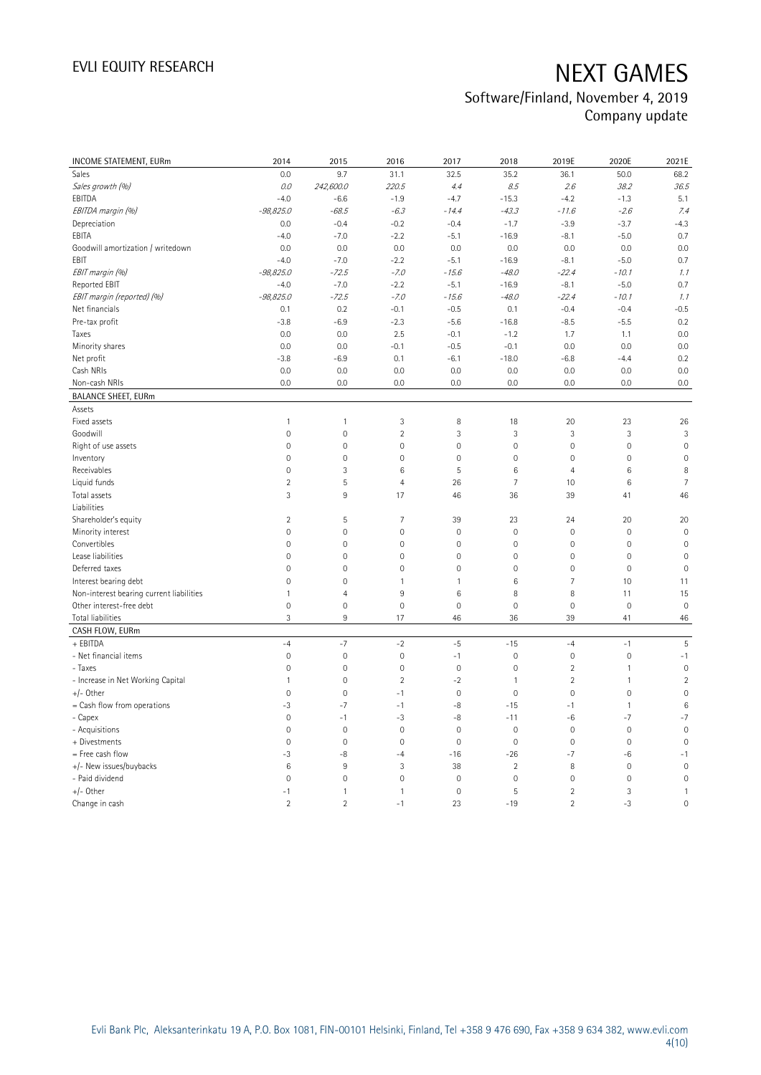## Software/Finland, November 4, 2019 Company update

| <b>INCOME STATEMENT, EURm</b>            | 2014                | 2015           | 2016                | 2017                | 2018                | 2019E               | 2020E        | 2021E           |
|------------------------------------------|---------------------|----------------|---------------------|---------------------|---------------------|---------------------|--------------|-----------------|
| Sales                                    | 0.0                 | 9.7            | 31.1                | 32.5                | 35.2                | 36.1                | 50.0         | 68.2            |
| Sales growth (%)                         | 0.0                 | 242,600.0      | 220.5               | 4.4                 | 8.5                 | 2.6                 | 38.2         | 36.5            |
| EBITDA                                   | $-4.0$              | $-6.6$         | $-1.9$              | $-4.7$              | $-15.3$             | $-4.2$              | $-1.3$       | 5.1             |
| EBITDA margin (%)                        | $-98,825.0$         | $-68.5$        | $-6.3$              | $-14.4$             | $-43.3$             | $-11.6$             | $-2.6$       | 7.4             |
| Depreciation                             | 0.0                 | $-0.4$         | $-0.2$              | $-0.4$              | $-1.7$              | $-3.9$              | $-3.7$       | $-4.3$          |
| EBITA                                    | $-4.0$              | $-7.0$         | $-2.2$              | $-5.1$              | $-16.9$             | $-8.1$              | $-5.0$       | 0.7             |
| Goodwill amortization / writedown        | 0.0                 | 0.0            | 0.0                 | 0.0                 | 0.0                 | 0.0                 | 0.0          | 0.0             |
| EBIT                                     | $-4.0$              | $-7.0$         | $-2.2$              | $-5.1$              | $-16.9$             | $-8.1$              | $-5.0$       | 0.7             |
| EBIT margin (%)                          | $-98,825.0$         | $-72.5$        | $-7.0$              | $-15.6$             | $-48.0$             | $-22.4$             | $-10.1$      | 1.1             |
| Reported EBIT                            | $-4.0$              | $-7.0$         | $-2.2$              | $-5.1$              | $-16.9$             | $-8.1$              | $-5.0$       | 0.7             |
| EBIT margin (reported) (%)               | $-98,825.0$         | $-72.5$        | $-7.0$              | $-15.6$             | $-48.0$             | $-22.4$             | $-10.1$      | 1.1             |
| Net financials                           | 0.1                 | 0.2            | $-0.1$              | $-0.5$              | 0.1                 | $-0.4$              | $-0.4$       | $-0.5$          |
| Pre-tax profit                           | $-3.8$              | $-6.9$         | $-2.3$              | $-5.6$              | $-16.8$             | $-8.5$              | $-5.5$       | 0.2             |
| Taxes                                    | 0.0                 | 0.0            | 2.5                 | $-0.1$              | $-1.2$              | 1.7                 | 1.1          | 0.0             |
| Minority shares                          | 0.0                 | 0.0            | $-0.1$              | $-0.5$              | $-0.1$              | 0.0                 | 0.0          | 0.0             |
| Net profit                               | $-3.8$              | $-6.9$         | 0.1                 | $-6.1$              | $-18.0$             | $-6.8$              | $-4.4$       | 0.2             |
| Cash NRIs                                | 0.0                 | 0.0            | 0.0                 | 0.0                 | 0.0                 | 0.0                 | 0.0          | 0.0             |
| Non-cash NRIs                            | 0.0                 | 0.0            | 0.0                 | 0.0                 | 0.0                 | 0.0                 | 0.0          | 0.0             |
| <b>BALANCE SHEET, EURm</b>               |                     |                |                     |                     |                     |                     |              |                 |
| Assets                                   |                     |                |                     |                     |                     |                     |              |                 |
| Fixed assets                             | $\mathbf{1}$        | $\mathbf{1}$   | 3                   | 8                   | 18                  | 20                  | 23           | 26              |
| Goodwill                                 | $\mathsf{O}\xspace$ | $\mathbf 0$    | $\overline{2}$      | 3                   | 3                   | 3                   | 3            | 3               |
| Right of use assets                      | $\mathsf{O}\xspace$ | $\mathbf 0$    | $\mathsf{O}\xspace$ | $\mathsf{O}\xspace$ | $\mathsf{O}\xspace$ | $\mathsf{O}\xspace$ | $\mathbf 0$  | $\mathbf 0$     |
| Inventory                                | $\overline{0}$      | $\mathbf 0$    | $\overline{0}$      | $\mathbf 0$         | $\mathsf{O}\xspace$ | $\mathbf 0$         | $\mathbf 0$  | $\mathbf 0$     |
| Receivables                              | $\mathsf{O}\xspace$ | 3              | $\,6$               | 5                   | $\,6\,$             | $\overline{4}$      | 6            | 8               |
| Liquid funds                             | $\overline{2}$      | $\mathsf S$    | $\overline{4}$      | 26                  | $\overline{7}$      | 10                  | $\,6\,$      | $\overline{7}$  |
| Total assets                             | 3                   | $9\,$          | 17                  | 46                  | 36                  | 39                  | 41           | 46              |
| Liabilities                              |                     |                |                     |                     |                     |                     |              |                 |
| Shareholder's equity                     | $\overline{2}$      | 5              | 7                   | 39                  | 23                  | 24                  | 20           | 20              |
| Minority interest                        | $\mathsf{O}\xspace$ | $\mathbf 0$    | $\mathsf{O}\xspace$ | $\mathbf 0$         | $\mathsf{O}\xspace$ | $\mathsf{O}\xspace$ | $\mathbf 0$  | $\mathbf 0$     |
| Convertibles                             | 0                   | $\mathbf 0$    | $\mathbf 0$         | 0                   | $\mathsf{O}\xspace$ | $\mathsf{O}\xspace$ | $\mathbf 0$  | $\mathbf 0$     |
| Lease liabilities                        | $\mathbf 0$         | $\mathbf 0$    | $\overline{0}$      | 0                   | $\mathbf 0$         | $\mathsf{O}\xspace$ | $\mathbf 0$  | $\mathbf 0$     |
| Deferred taxes                           | $\overline{0}$      | $\overline{0}$ | $\overline{0}$      | $\mathbf 0$         | $\mathbf{0}$        | $\mathsf{O}\xspace$ | $\mathbf{0}$ | $\overline{0}$  |
| Interest bearing debt                    | $\mathsf{O}\xspace$ | $\mathbf 0$    | $\mathbf{1}$        | 1                   | 6                   | $\overline{7}$      | 10           | 11              |
| Non-interest bearing current liabilities | $\mathbf{1}$        | $\overline{4}$ | 9                   | 6                   | 8                   | 8                   | 11           | 15              |
| Other interest-free debt                 | $\mathsf{O}\xspace$ | $\mathbf 0$    | $\mathbf 0$         | $\mathbf 0$         | $\mathsf{O}\xspace$ | $\mathsf{O}\xspace$ | $\mathbf 0$  | $\mathbf 0$     |
| Total liabilities                        | 3                   | 9              | 17                  | 46                  | 36                  | 39                  | 41           | 46              |
| CASH FLOW, EURm                          |                     |                |                     |                     |                     |                     |              |                 |
| + EBITDA                                 | $-4$                | $-7$           | $-2$                | $-5$                | $-15$               | $-4$                | $-1$         | $\overline{5}$  |
| - Net financial items                    | $\mathbb O$         | $\mathbf 0$    | $\mathbf 0$         | $-1$                | $\mathbf 0$         | $\mathsf{O}\xspace$ | $\mathbf 0$  | $-1$            |
| - Taxes                                  | $\mathsf{O}\xspace$ | $\mathbf 0$    | $\mathbf 0$         | $\mathbf 0$         | $\mathbf 0$         | $\sqrt{2}$          | $\mathbf{1}$ | $\mathbf 0$     |
| - Increase in Net Working Capital        | $\mathbf{1}$        | $\mathbf 0$    | $\overline{2}$      | $-2$                | $\mathbf{1}$        | $\overline{2}$      | $\mathbf{1}$ | $\overline{2}$  |
| $+/-$ Other                              | $\mathsf{O}\xspace$ | $\mathbf 0$    | $-1$                | $\mathsf{O}\xspace$ | $\mathbf 0$         | $\mathsf{O}\xspace$ | $\mathbf 0$  | $\mathbf 0$     |
| = Cash flow from operations              | $-3$                | $-7$           | $-1$                | $-8$                | $-15$               | $-1$                | $\mathbf{1}$ | $6\phantom{1}6$ |
| - Capex                                  | $\mathbb O$         | $-1$           | $-3$                | $-8$                | $-11$               | $-6$                | $-7$         | $-7$            |
| - Acquisitions                           | $\overline{0}$      | $\mathbf 0$    | $\mathbf 0$         | $\mathbf 0$         | $\mathbf 0$         | $\mathsf{O}\xspace$ | $\mathbf 0$  | $\mathbf 0$     |
| + Divestments                            | $\mathbb O$         | $\mathbf 0$    | $\mathbf 0$         | $\mathbf 0$         | $\mathsf{O}\xspace$ | $\mathsf{O}\xspace$ | $\mathbf 0$  | $\mathbf 0$     |
| = Free cash flow                         | $-3$                | -8             | $-4$                | $-16$               | $-26$               | $-7$                | -6           | $-1$            |
| +/- New issues/buybacks                  | 6                   | 9              | 3                   | 38                  | $\sqrt{2}$          | 8                   | $\mathbf 0$  | $\overline{0}$  |
| - Paid dividend                          | $\mathsf{O}\xspace$ | $\mathbf 0$    | $\mathbf 0$         | $\mathbf 0$         | $\mathbf 0$         | $\mathsf{O}\xspace$ | $\mathbf 0$  | $\mathbf 0$     |
| $+/-$ Other                              | $-1$                | $\mathbf{1}$   | $\mathbf{1}$        | $\mathbf 0$         | 5                   | $\overline{2}$      | 3            | $\mathbf{1}$    |
| Change in cash                           | $\overline{2}$      | $\overline{2}$ | $-1$                | 23                  | $-19$               | $\overline{2}$      | $-3$         | $\overline{0}$  |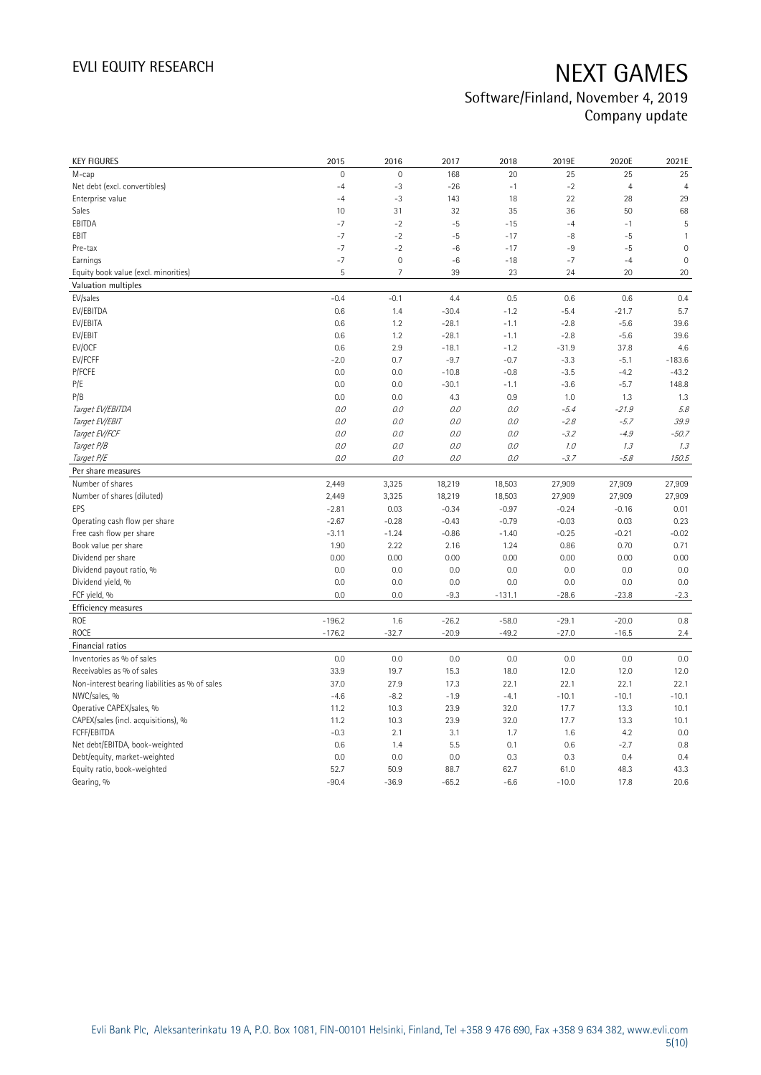## Software/Finland, November 4, 2019 Company update

| <b>KEY FIGURES</b>                                        | 2015            | 2016                | 2017              | 2018              | 2019E             | 2020E             | 2021E               |
|-----------------------------------------------------------|-----------------|---------------------|-------------------|-------------------|-------------------|-------------------|---------------------|
| M-cap                                                     | $\overline{0}$  | $\mathbf 0$         | 168               | 20                | 25                | 25                | 25                  |
| Net debt (excl. convertibles)                             | $-4$            | $-3$                | $-26$             | $-1$              | $-2$              | $\overline{4}$    | $\overline{4}$      |
| Enterprise value                                          | $-4$            | $-3$                | 143               | 18                | 22                | 28                | 29                  |
| Sales                                                     | 10              | 31                  | 32                | 35                | 36                | 50                | 68                  |
| EBITDA                                                    | $-7$            | $-2$                | $-5$              | $-15$             | $-4$              | $-1$              | 5                   |
| EBIT                                                      | $-7$            | $-2$                | $-5$              | $-17$             | -8                | $-5$              | $\mathbf{1}$        |
| Pre-tax                                                   | $-7$            | $-2$                | $-6$              | $-17$             | -9                | $-5$              | $\mathbf 0$         |
| Earnings                                                  | $-7$            | $\mathsf{O}\xspace$ | $-6$              | $-18$             | $-7$              | $-4$              | $\mathsf{O}\xspace$ |
| Equity book value (excl. minorities)                      | 5               | $\overline{7}$      | 39                | 23                | 24                | 20                | 20                  |
| Valuation multiples                                       |                 |                     |                   |                   |                   |                   |                     |
| EV/sales                                                  | $-0.4$          | $-0.1$              | 4.4               | 0.5               | 0.6               | 0.6               | 0.4                 |
| EV/EBITDA                                                 | 0.6             | 1.4                 | $-30.4$           | $-1.2$            | $-5.4$            | $-21.7$           | 5.7                 |
| EV/EBITA                                                  | 0.6             | 1.2                 | $-28.1$           | $-1.1$            | $-2.8$            | $-5.6$            | 39.6                |
| EV/EBIT                                                   | 0.6             | 1.2                 | $-28.1$           | $-1.1$            | $-2.8$            | $-5.6$            | 39.6                |
| EV/OCF                                                    | 0.6             | 2.9                 | $-18.1$           | $-1.2$            | $-31.9$           | 37.8              | 4.6                 |
| EV/FCFF                                                   | $-2.0$          | 0.7                 | $-9.7$            | $-0.7$            | $-3.3$            | $-5.1$            | $-183.6$            |
| P/FCFE                                                    | 0.0             | 0.0                 | $-10.8$           | $-0.8$            | $-3.5$            | $-4.2$            | $-43.2$             |
| P/E                                                       | 0.0             | 0.0                 | $-30.1$           | $-1.1$            | $-3.6$            | $-5.7$            | 148.8               |
| P/B                                                       | 0.0             | 0.0                 | 4.3               | 0.9               | 1.0               | 1.3               | 1.3                 |
| Target EV/EBITDA                                          | 0.0             | 0.0                 | 0.0               | 0.0               | $-5.4$            | $-21.9$           | 5.8                 |
| Target EV/EBIT                                            | 0.0             | 0.0                 | 0.0               | 0.0               | $-2.8$            | $-5.7$            | 39.9                |
| Target EV/FCF                                             | 0.0             | 0.0                 | 0.0               | 0.0               | $-3.2$            | $-4.9$            | $-50.7$             |
| Target P/B                                                | 0.0             | 0.0                 | 0.0               | 0.0               | 1.0               | 1.3               | 1.3                 |
| Target P/E                                                | 0.0             | 0.0                 | 0.0               | 0.0               | $-3.7$            | $-5.8$            | 150.5               |
| Per share measures                                        |                 |                     |                   |                   |                   |                   |                     |
|                                                           |                 |                     |                   |                   |                   |                   |                     |
| Number of shares                                          |                 |                     |                   |                   |                   |                   |                     |
|                                                           | 2,449<br>2,449  | 3,325               | 18,219            | 18,503            | 27,909            | 27,909            | 27,909              |
| Number of shares (diluted)<br>EPS                         | $-2.81$         | 3,325<br>0.03       | 18,219<br>$-0.34$ | 18,503<br>$-0.97$ | 27,909<br>$-0.24$ | 27,909<br>$-0.16$ | 27,909<br>0.01      |
|                                                           | $-2.67$         | $-0.28$             | $-0.43$           | $-0.79$           | $-0.03$           | 0.03              |                     |
| Operating cash flow per share<br>Free cash flow per share | $-3.11$         | $-1.24$             | $-0.86$           | $-1.40$           | $-0.25$           | $-0.21$           | 0.23<br>$-0.02$     |
| Book value per share                                      | 1.90            | 2.22                | 2.16              | 1.24              | 0.86              | 0.70              | 0.71                |
| Dividend per share                                        | 0.00            | 0.00                | 0.00              | 0.00              | 0.00              | 0.00              | 0.00                |
|                                                           | 0.0             |                     |                   | 0.0               | 0.0               | 0.0               | 0.0                 |
| Dividend payout ratio, %                                  | 0.0             | 0.0<br>0.0          | 0.0<br>0.0        | 0.0               | 0.0               | 0.0               | 0.0                 |
| Dividend yield, %<br>FCF yield, %                         | 0.0             | 0.0                 | $-9.3$            | $-131.1$          | $-28.6$           | $-23.8$           |                     |
|                                                           |                 |                     |                   |                   |                   |                   | $-2.3$              |
| Efficiency measures                                       |                 |                     |                   |                   |                   |                   |                     |
| ROE                                                       | $-196.2$        | 1.6                 | $-26.2$           | $-58.0$           | $-29.1$           | $-20.0$           | 0.8                 |
| <b>ROCE</b>                                               | $-176.2$        | $-32.7$             | $-20.9$           | $-49.2$           | $-27.0$           | $-16.5$           | 2.4                 |
| Financial ratios                                          |                 |                     |                   |                   |                   |                   |                     |
| Inventories as % of sales                                 | 0.0             | 0.0                 | 0.0               | 0.0               | 0.0               | 0.0               | 0.0                 |
| Receivables as % of sales                                 | 33.9            | 19.7                | 15.3              | 18.0              | 12.0              | 12.0              | 12.0                |
| Non-interest bearing liabilities as % of sales            | 37.0            | 27.9                | 17.3              | 22.1              | 22.1              | 22.1              | 22.1                |
| NWC/sales, %                                              | $-4.6$          | $-8.2$              | $-1.9$            | $-4.1$            | $-10.1$           | $-10.1$           | $-10.1$             |
| Operative CAPEX/sales, %                                  | 11.2            | 10.3                | 23.9              | 32.0              | 17.7              | 13.3              | 10.1                |
| CAPEX/sales (incl. acquisitions), %                       | 11.2            | 10.3                | 23.9              | 32.0              | 17.7              | 13.3              | 10.1                |
| FCFF/EBITDA                                               | $-0.3$          | 2.1                 | 3.1               | 1.7               | 1.6               | 4.2               | 0.0                 |
| Net debt/EBITDA, book-weighted                            | 0.6             | 1.4                 | 5.5               | 0.1               | 0.6               | $-2.7$            | 0.8                 |
| Debt/equity, market-weighted                              | 0.0             | 0.0                 | 0.0               | 0.3               | 0.3               | 0.4               | 0.4                 |
| Equity ratio, book-weighted<br>Gearing, %                 | 52.7<br>$-90.4$ | 50.9<br>$-36.9$     | 88.7<br>$-65.2$   | 62.7<br>$-6.6$    | 61.0<br>$-10.0$   | 48.3<br>17.8      | 43.3<br>20.6        |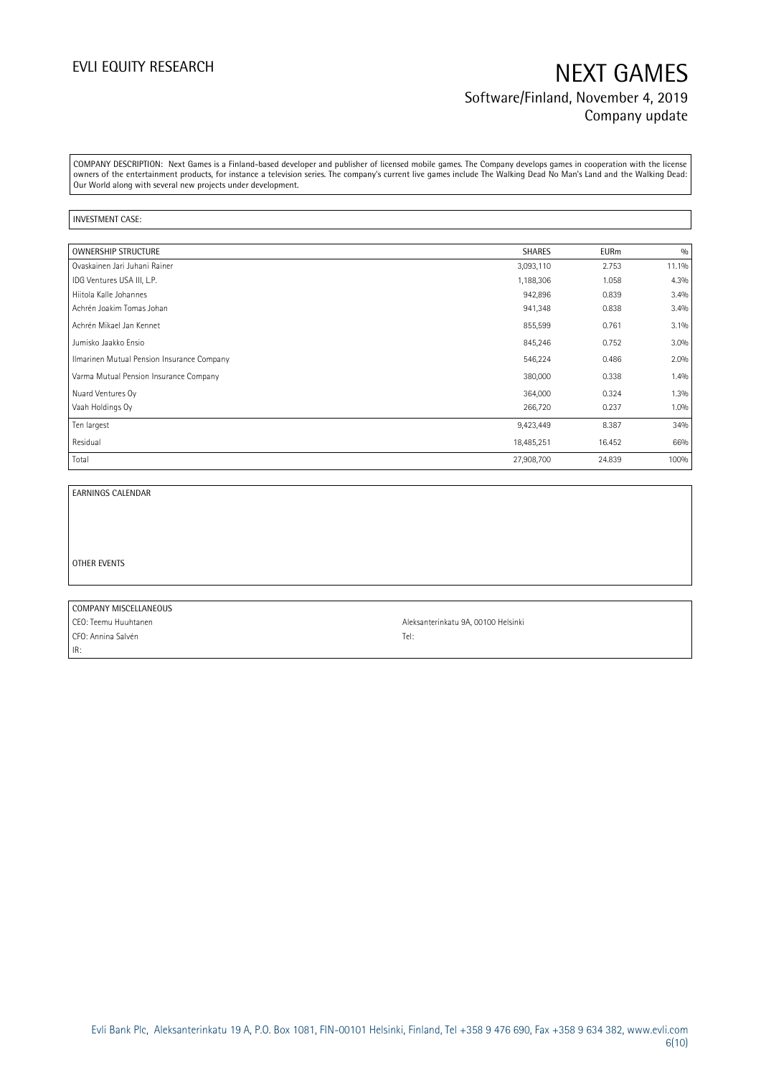## EVLI EQUITY RESEARCH NEXT GAMES Software/Finland, November 4, 2019 Company update

COMPANY DESCRIPTION: Next Games is a Finland-based developer and publisher of licensed mobile games. The Company develops games in cooperation with the license owners of the entertainment products, for instance a television series. The company's current live games include The Walking Dead No Man's Land and the Walking Dead: Our World along with several new projects under development.

#### INVESTMENT CASE:

| OWNERSHIP STRUCTURE                        | SHARES     | <b>EURm</b> | 0/0   |
|--------------------------------------------|------------|-------------|-------|
| Ovaskainen Jari Juhani Rainer              | 3,093,110  | 2.753       | 11.1% |
| IDG Ventures USA III, L.P.                 | 1,188,306  | 1.058       | 4.3%  |
| Hiitola Kalle Johannes                     | 942,896    | 0.839       | 3.4%  |
| Achrén Joakim Tomas Johan                  | 941,348    | 0.838       | 3.4%  |
| Achrén Mikael Jan Kennet                   | 855,599    | 0.761       | 3.1%  |
| Jumisko Jaakko Ensio                       | 845,246    | 0.752       | 3.0%  |
| Ilmarinen Mutual Pension Insurance Company | 546,224    | 0.486       | 2.0%  |
| Varma Mutual Pension Insurance Company     | 380,000    | 0.338       | 1.4%  |
| Nuard Ventures Oy                          | 364,000    | 0.324       | 1.3%  |
| Vaah Holdings Oy                           | 266,720    | 0.237       | 1.0%  |
| Ten largest                                | 9,423,449  | 8.387       | 34%   |
| Residual                                   | 18,485,251 | 16.452      | 66%   |
| Total                                      | 27,908,700 | 24.839      | 100%  |

EARNINGS CALENDAR

OTHER EVENTS

IR:

COMPANY MISCELLANEOUS CEO: Teemu Huuhtanen Aleksanterinkatu 9A, 00100 Helsinki CFO: Annina Salvén Tel: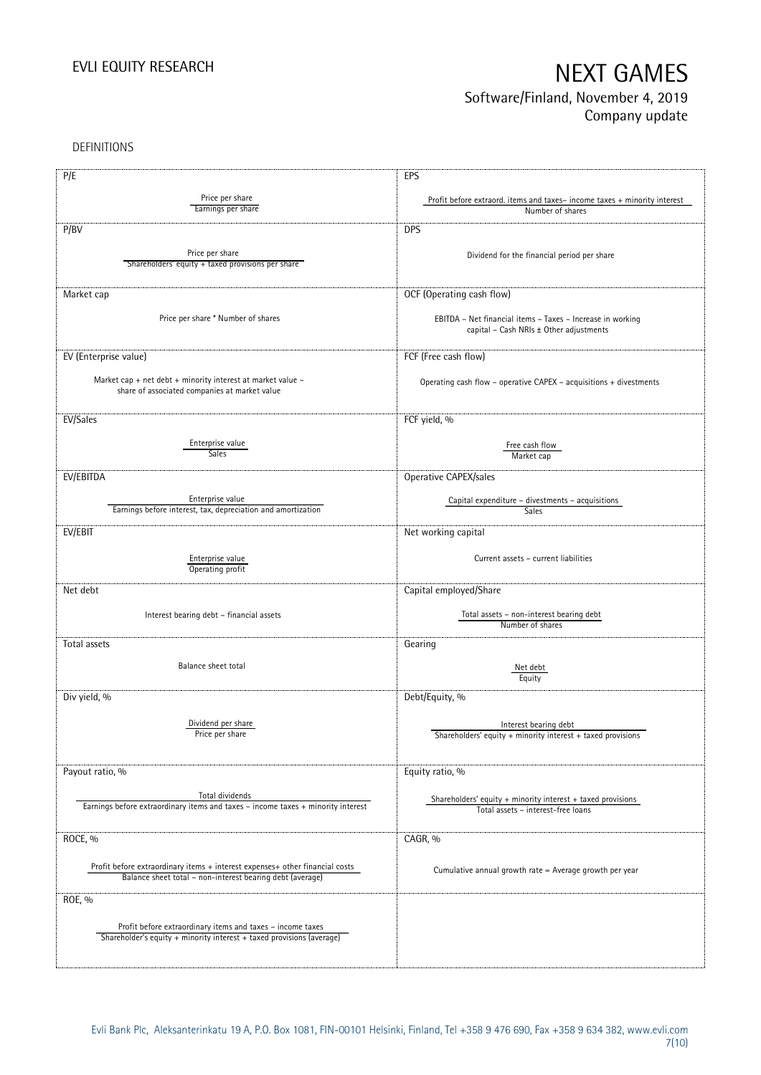## Software/Finland, November 4, 2019 Company update

DEFINITIONS

| P/E                                                                                                                                 | EPS                                                                      |
|-------------------------------------------------------------------------------------------------------------------------------------|--------------------------------------------------------------------------|
| Price per share                                                                                                                     | Profit before extraord. items and taxes-income taxes + minority interest |
| Earnings per share                                                                                                                  | Number of shares                                                         |
|                                                                                                                                     |                                                                          |
| P/BV                                                                                                                                | <b>DPS</b>                                                               |
| Price per share                                                                                                                     |                                                                          |
| Shareholders' equity + taxed provisions per share                                                                                   | Dividend for the financial period per share                              |
|                                                                                                                                     |                                                                          |
| Market cap                                                                                                                          | OCF (Operating cash flow)                                                |
|                                                                                                                                     |                                                                          |
| Price per share * Number of shares                                                                                                  | EBITDA - Net financial items - Taxes - Increase in working               |
|                                                                                                                                     | capital - Cash NRIs ± Other adjustments                                  |
|                                                                                                                                     |                                                                          |
| EV (Enterprise value)                                                                                                               | FCF (Free cash flow)                                                     |
|                                                                                                                                     |                                                                          |
| Market cap + net debt + minority interest at market value -                                                                         | Operating cash flow - operative CAPEX - acquisitions + divestments       |
| share of associated companies at market value                                                                                       |                                                                          |
|                                                                                                                                     |                                                                          |
| EV/Sales                                                                                                                            | FCF yield, %                                                             |
| Enterprise value                                                                                                                    |                                                                          |
| <b>Sales</b>                                                                                                                        | Free cash flow<br>Market cap                                             |
|                                                                                                                                     |                                                                          |
| EV/EBITDA                                                                                                                           | Operative CAPEX/sales                                                    |
| Enterprise value                                                                                                                    |                                                                          |
| Earnings before interest, tax, depreciation and amortization                                                                        | Capital expenditure – divestments – acquisitions<br>Sales                |
|                                                                                                                                     |                                                                          |
| EV/EBIT                                                                                                                             | Net working capital                                                      |
|                                                                                                                                     |                                                                          |
| Enterprise value                                                                                                                    | Current assets - current liabilities                                     |
| Operating profit                                                                                                                    |                                                                          |
| Net debt                                                                                                                            | Capital employed/Share                                                   |
|                                                                                                                                     |                                                                          |
| Interest bearing debt - financial assets                                                                                            | Total assets - non-interest bearing debt                                 |
|                                                                                                                                     | Number of shares                                                         |
| Total assets                                                                                                                        | Gearing                                                                  |
|                                                                                                                                     |                                                                          |
| Balance sheet total                                                                                                                 | Net debt                                                                 |
|                                                                                                                                     | Equity                                                                   |
| Div yield, %                                                                                                                        | Debt/Equity, %                                                           |
|                                                                                                                                     |                                                                          |
| Dividend per share                                                                                                                  | Interest bearing debt                                                    |
| Price per share                                                                                                                     | Shareholders' equity + minority interest + taxed provisions              |
|                                                                                                                                     |                                                                          |
| Payout ratio, %                                                                                                                     | Equity ratio, %                                                          |
|                                                                                                                                     |                                                                          |
| Total dividends                                                                                                                     | Shareholders' equity + minority interest + taxed provisions              |
| Earnings before extraordinary items and taxes - income taxes + minority interest                                                    | Total assets - interest-free loans                                       |
|                                                                                                                                     |                                                                          |
| ROCE, %                                                                                                                             | CAGR, %                                                                  |
|                                                                                                                                     |                                                                          |
| Profit before extraordinary items + interest expenses+ other financial costs                                                        |                                                                          |
| Balance sheet total - non-interest bearing debt (average)                                                                           | Cumulative annual growth rate = Average growth per year                  |
|                                                                                                                                     |                                                                          |
| ROE, %                                                                                                                              |                                                                          |
|                                                                                                                                     |                                                                          |
| Profit before extraordinary items and taxes - income taxes<br>Shareholder's equity + minority interest + taxed provisions (average) |                                                                          |
|                                                                                                                                     |                                                                          |
|                                                                                                                                     |                                                                          |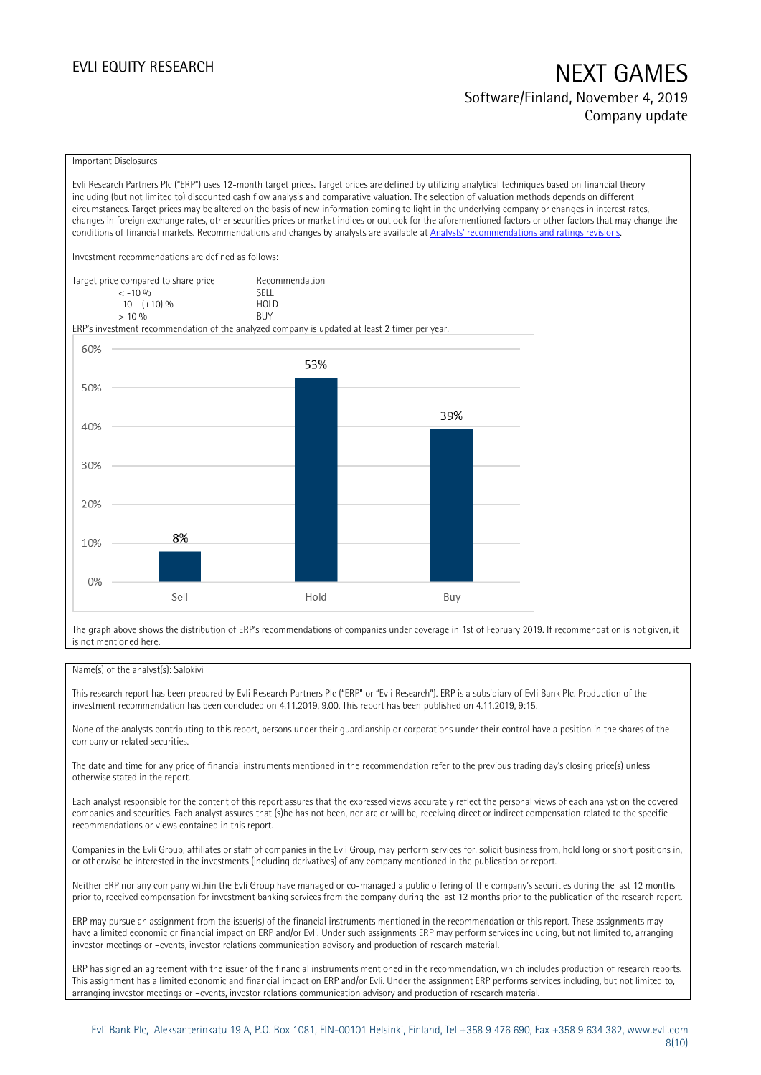## EVLI EQUITY RESEARCH NEXT GAMES Software/Finland, November 4, 2019 Company update

#### Important Disclosures

Evli Research Partners Plc ("ERP") uses 12-month target prices. Target prices are defined by utilizing analytical techniques based on financial theory including (but not limited to) discounted cash flow analysis and comparative valuation. The selection of valuation methods depends on different circumstances. Target prices may be altered on the basis of new information coming to light in the underlying company or changes in interest rates, changes in foreign exchange rates, other securities prices or market indices or outlook for the aforementioned factors or other factors that may change the conditions of financial markets. Recommendations and changes by analysts are available at [Analysts' recommendations and ratings revisions](https://research.evli.com/JasperAllModels.action?authParam=key;461&authParam=x;G3rNagWrtf7K&authType=3).

Investment recommendations are defined as follows:

| Target price compared to share price | Recommendation |
|--------------------------------------|----------------|
| $<-10.06$                            | SELL.          |
| $-10 - (+10)$ %                      | HOI D          |
| > 10%                                | <b>BUY</b>     |

ERP's investment recommendation of the analyzed company is updated at least 2 timer per year.



The graph above shows the distribution of ERP's recommendations of companies under coverage in 1st of February 2019. If recommendation is not given, it is not mentioned here.

#### Name(s) of the analyst(s): Salokivi

This research report has been prepared by Evli Research Partners Plc ("ERP" or "Evli Research"). ERP is a subsidiary of Evli Bank Plc. Production of the investment recommendation has been concluded on 4.11.2019, 9.00. This report has been published on 4.11.2019, 9:15.

None of the analysts contributing to this report, persons under their guardianship or corporations under their control have a position in the shares of the company or related securities.

The date and time for any price of financial instruments mentioned in the recommendation refer to the previous trading day's closing price(s) unless otherwise stated in the report.

Each analyst responsible for the content of this report assures that the expressed views accurately reflect the personal views of each analyst on the covered companies and securities. Each analyst assures that (s)he has not been, nor are or will be, receiving direct or indirect compensation related to the specific recommendations or views contained in this report.

Companies in the Evli Group, affiliates or staff of companies in the Evli Group, may perform services for, solicit business from, hold long or short positions in, or otherwise be interested in the investments (including derivatives) of any company mentioned in the publication or report.

Neither ERP nor any company within the Evli Group have managed or co-managed a public offering of the company's securities during the last 12 months prior to, received compensation for investment banking services from the company during the last 12 months prior to the publication of the research report.

ERP may pursue an assignment from the issuer(s) of the financial instruments mentioned in the recommendation or this report. These assignments may have a limited economic or financial impact on ERP and/or Evli. Under such assignments ERP may perform services including, but not limited to, arranging investor meetings or –events, investor relations communication advisory and production of research material.

ERP has signed an agreement with the issuer of the financial instruments mentioned in the recommendation, which includes production of research reports. This assignment has a limited economic and financial impact on ERP and/or Evli. Under the assignment ERP performs services including, but not limited to, arranging investor meetings or –events, investor relations communication advisory and production of research material.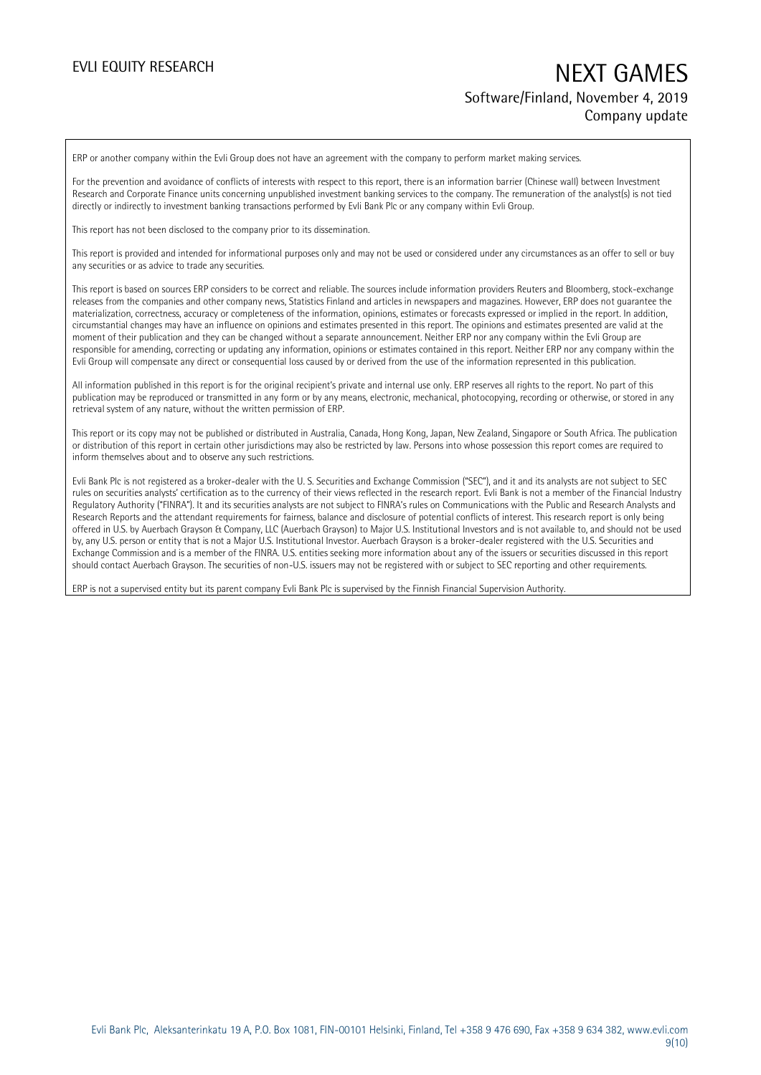## EVLI EQUITY RESEARCH NEXT GAMES Software/Finland, November 4, 2019 Company update

ERP or another company within the Evli Group does not have an agreement with the company to perform market making services.

For the prevention and avoidance of conflicts of interests with respect to this report, there is an information barrier (Chinese wall) between Investment Research and Corporate Finance units concerning unpublished investment banking services to the company. The remuneration of the analyst(s) is not tied directly or indirectly to investment banking transactions performed by Evli Bank Plc or any company within Evli Group.

This report has not been disclosed to the company prior to its dissemination.

This report is provided and intended for informational purposes only and may not be used or considered under any circumstances as an offer to sell or buy any securities or as advice to trade any securities.

This report is based on sources ERP considers to be correct and reliable. The sources include information providers Reuters and Bloomberg, stock-exchange releases from the companies and other company news, Statistics Finland and articles in newspapers and magazines. However, ERP does not guarantee the materialization, correctness, accuracy or completeness of the information, opinions, estimates or forecasts expressed or implied in the report. In addition, circumstantial changes may have an influence on opinions and estimates presented in this report. The opinions and estimates presented are valid at the moment of their publication and they can be changed without a separate announcement. Neither ERP nor any company within the Evli Group are responsible for amending, correcting or updating any information, opinions or estimates contained in this report. Neither ERP nor any company within the Evli Group will compensate any direct or consequential loss caused by or derived from the use of the information represented in this publication.

All information published in this report is for the original recipient's private and internal use only. ERP reserves all rights to the report. No part of this publication may be reproduced or transmitted in any form or by any means, electronic, mechanical, photocopying, recording or otherwise, or stored in any retrieval system of any nature, without the written permission of ERP.

This report or its copy may not be published or distributed in Australia, Canada, Hong Kong, Japan, New Zealand, Singapore or South Africa. The publication or distribution of this report in certain other jurisdictions may also be restricted by law. Persons into whose possession this report comes are required to inform themselves about and to observe any such restrictions.

Evli Bank Plc is not registered as a broker-dealer with the U. S. Securities and Exchange Commission ("SEC"), and it and its analysts are not subject to SEC rules on securities analysts' certification as to the currency of their views reflected in the research report. Evli Bank is not a member of the Financial Industry Regulatory Authority ("FINRA"). It and its securities analysts are not subject to FINRA's rules on Communications with the Public and Research Analysts and Research Reports and the attendant requirements for fairness, balance and disclosure of potential conflicts of interest. This research report is only being offered in U.S. by Auerbach Grayson & Company, LLC (Auerbach Grayson) to Major U.S. Institutional Investors and is not available to, and should not be used by, any U.S. person or entity that is not a Major U.S. Institutional Investor. Auerbach Grayson is a broker-dealer registered with the U.S. Securities and Exchange Commission and is a member of the FINRA. U.S. entities seeking more information about any of the issuers or securities discussed in this report should contact Auerbach Grayson. The securities of non-U.S. issuers may not be registered with or subject to SEC reporting and other requirements.

ERP is not a supervised entity but its parent company Evli Bank Plc is supervised by the Finnish Financial Supervision Authority.